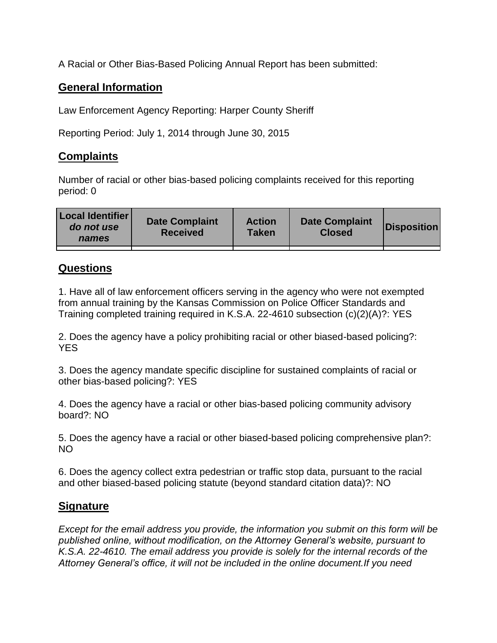A Racial or Other Bias-Based Policing Annual Report has been submitted:

## **General Information**

Law Enforcement Agency Reporting: Harper County Sheriff

Reporting Period: July 1, 2014 through June 30, 2015

## **Complaints**

Number of racial or other bias-based policing complaints received for this reporting period: 0

| <b>Local Identifier</b><br>do not use<br>names | <b>Date Complaint</b><br><b>Received</b> | <b>Action</b><br><b>Taken</b> | <b>Date Complaint</b><br><b>Closed</b> | Disposition |
|------------------------------------------------|------------------------------------------|-------------------------------|----------------------------------------|-------------|
|                                                |                                          |                               |                                        |             |

## **Questions**

1. Have all of law enforcement officers serving in the agency who were not exempted from annual training by the Kansas Commission on Police Officer Standards and Training completed training required in K.S.A. 22-4610 subsection (c)(2)(A)?: YES

2. Does the agency have a policy prohibiting racial or other biased-based policing?: YES

3. Does the agency mandate specific discipline for sustained complaints of racial or other bias-based policing?: YES

4. Does the agency have a racial or other bias-based policing community advisory board?: NO

5. Does the agency have a racial or other biased-based policing comprehensive plan?: NO

6. Does the agency collect extra pedestrian or traffic stop data, pursuant to the racial and other biased-based policing statute (beyond standard citation data)?: NO

## **Signature**

*Except for the email address you provide, the information you submit on this form will be published online, without modification, on the Attorney General's website, pursuant to K.S.A. 22-4610. The email address you provide is solely for the internal records of the Attorney General's office, it will not be included in the online document.If you need*